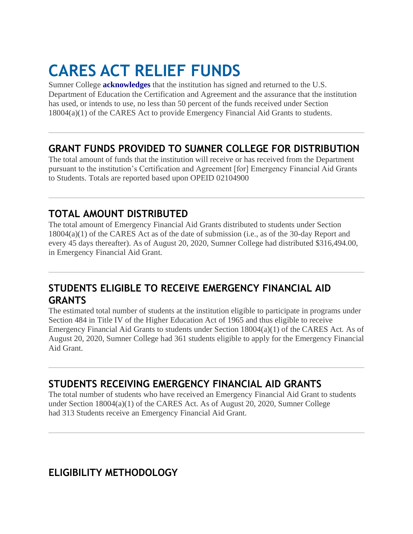# **CARES ACT RELIEF FUNDS**

Sumner College **[acknowledges](https://www.concorde.edu/wp-content/uploads/2020/06/CARES-Acknowledgment-Concorde-Career-Colleges-2020.pdf)** that the institution has signed and returned to the U.S. Department of Education the Certification and Agreement and the assurance that the institution has used, or intends to use, no less than 50 percent of the funds received under Section 18004(a)(1) of the CARES Act to provide Emergency Financial Aid Grants to students.

### **GRANT FUNDS PROVIDED TO SUMNER COLLEGE FOR DISTRIBUTION**

The total amount of funds that the institution will receive or has received from the Department pursuant to the institution's Certification and Agreement [for] Emergency Financial Aid Grants to Students. Totals are reported based upon OPEID 02104900

## **TOTAL AMOUNT DISTRIBUTED**

The total amount of Emergency Financial Aid Grants distributed to students under Section 18004(a)(1) of the CARES Act as of the date of submission (i.e., as of the 30-day Report and every 45 days thereafter). As of August 20, 2020, Sumner College had distributed \$316,494.00, in Emergency Financial Aid Grant.

## **STUDENTS ELIGIBLE TO RECEIVE EMERGENCY FINANCIAL AID GRANTS**

The estimated total number of students at the institution eligible to participate in programs under Section 484 in Title IV of the Higher Education Act of 1965 and thus eligible to receive Emergency Financial Aid Grants to students under Section 18004(a)(1) of the CARES Act. As of August 20, 2020, Sumner College had 361 students eligible to apply for the Emergency Financial Aid Grant.

## **STUDENTS RECEIVING EMERGENCY FINANCIAL AID GRANTS**

The total number of students who have received an Emergency Financial Aid Grant to students under Section 18004(a)(1) of the CARES Act. As of August 20, 2020, Sumner College had 313 Students receive an Emergency Financial Aid Grant.

## **ELIGIBILITY METHODOLOGY**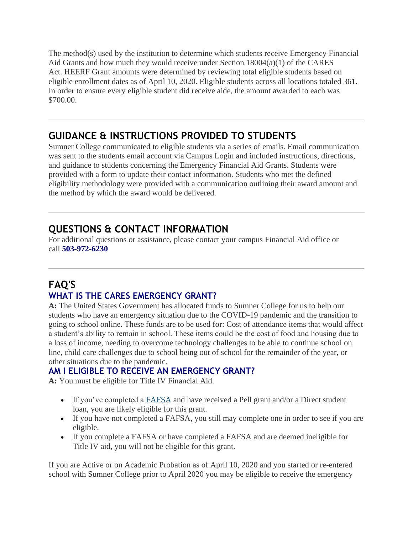The method(s) used by the institution to determine which students receive Emergency Financial Aid Grants and how much they would receive under Section 18004(a)(1) of the CARES Act. HEERF Grant amounts were determined by reviewing total eligible students based on eligible enrollment dates as of April 10, 2020. Eligible students across all locations totaled 361. In order to ensure every eligible student did receive aide, the amount awarded to each was \$700.00.

## **GUIDANCE & INSTRUCTIONS PROVIDED TO STUDENTS**

Sumner College communicated to eligible students via a series of emails. Email communication was sent to the students email account via Campus Login and included instructions, directions, and guidance to students concerning the Emergency Financial Aid Grants. Students were provided with a form to update their contact information. Students who met the defined eligibility methodology were provided with a communication outlining their award amount and the method by which the award would be delivered.

# **QUESTIONS & CONTACT INFORMATION**

For additional questions or assistance, please contact your campus Financial Aid office or call **[503-972-6230](tel:8004895106)**

## **FAQ'S WHAT IS THE CARES EMERGENCY GRANT?**

**A:** The United States Government has allocated funds to Sumner College for us to help our students who have an emergency situation due to the COVID-19 pandemic and the transition to going to school online. These funds are to be used for: Cost of attendance items that would affect a student's ability to remain in school. These items could be the cost of food and housing due to a loss of income, needing to overcome technology challenges to be able to continue school on line, child care challenges due to school being out of school for the remainder of the year, or other situations due to the pandemic.

#### **AM I ELIGIBLE TO RECEIVE AN EMERGENCY GRANT?**

**A:** You must be eligible for Title IV Financial Aid.

- If you've completed a **[FAFSA](https://studentaid.gov/h/apply-for-aid/fafsa)** and have received a Pell grant and/or a Direct student loan, you are likely eligible for this grant.
- If you have not completed a FAFSA, you still may complete one in order to see if you are eligible.
- If you complete a FAFSA or have completed a FAFSA and are deemed ineligible for Title IV aid, you will not be eligible for this grant.

If you are Active or on Academic Probation as of April 10, 2020 and you started or re-entered school with Sumner College prior to April 2020 you may be eligible to receive the emergency